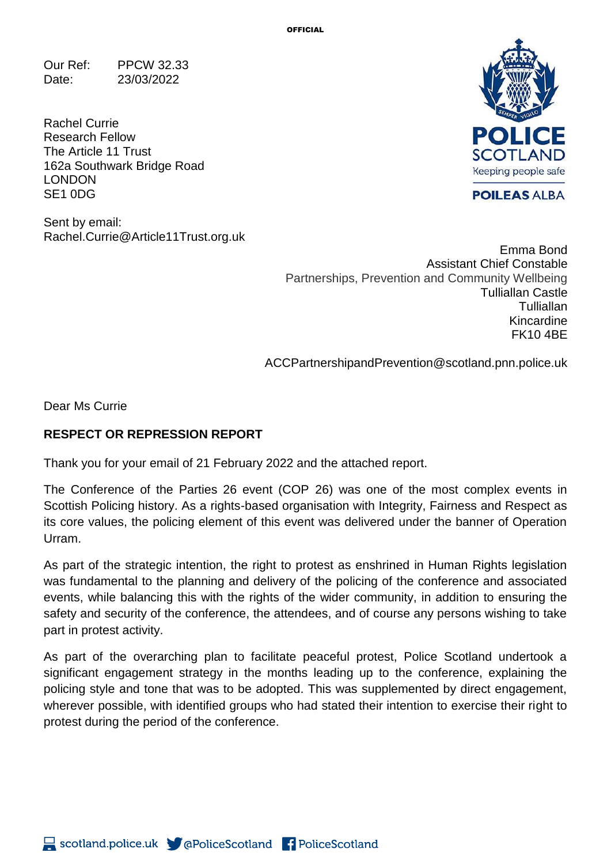Our Ref: PPCW 32.33 Date: 23/03/2022

Rachel Currie Research Fellow The Article 11 Trust 162a Southwark Bridge Road LONDON SE1 0DG

Sent by email: Rachel.Currie@Article11Trust.org.uk



**POILEAS ALBA** 

Emma Bond Assistant Chief Constable Partnerships, Prevention and Community Wellbeing Tulliallan Castle **Tulliallan** Kincardine FK10 4BE

ACCPartnershipandPrevention@scotland.pnn.police.uk

Dear Ms Currie

## **RESPECT OR REPRESSION REPORT**

Thank you for your email of 21 February 2022 and the attached report.

The Conference of the Parties 26 event (COP 26) was one of the most complex events in Scottish Policing history. As a rights-based organisation with Integrity, Fairness and Respect as its core values, the policing element of this event was delivered under the banner of Operation Urram.

As part of the strategic intention, the right to protest as enshrined in Human Rights legislation was fundamental to the planning and delivery of the policing of the conference and associated events, while balancing this with the rights of the wider community, in addition to ensuring the safety and security of the conference, the attendees, and of course any persons wishing to take part in protest activity.

As part of the overarching plan to facilitate peaceful protest, Police Scotland undertook a significant engagement strategy in the months leading up to the conference, explaining the policing style and tone that was to be adopted. This was supplemented by direct engagement, wherever possible, with identified groups who had stated their intention to exercise their right to protest during the period of the conference.